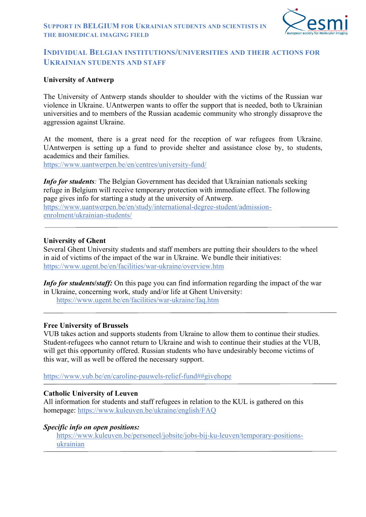

# **INDIVIDUAL BELGIAN INSTITUTIONS/UNIVERSITIES AND THEIR ACTIONS FOR UKRAINIAN STUDENTS AND STAFF**

### **University of Antwerp**

The University of Antwerp stands shoulder to shoulder with the victims of the Russian war violence in Ukraine. UAntwerpen wants to offer the support that is needed, both to Ukrainian universities and to members of the Russian academic community who strongly dissaprove the aggression against Ukraine.

At the moment, there is a great need for the reception of war refugees from Ukraine. UAntwerpen is setting up a fund to provide shelter and assistance close by, to students, academics and their families.

<https://www.uantwerpen.be/en/centres/university-fund/>

*Info for students*: The Belgian Government has decided that Ukrainian nationals seeking refuge in Belgium will receive temporary protection with immediate effect. The following page gives info for starting a study at the university of Antwerp. [https://www.uantwerpen.be/en/study/international-degree-student/admission](https://www.uantwerpen.be/en/study/international-degree-student/admission-enrolment/ukrainian-students/)[enrolment/ukrainian-students/](https://www.uantwerpen.be/en/study/international-degree-student/admission-enrolment/ukrainian-students/)

#### **University of Ghent**

Several Ghent University students and staff members are putting their shoulders to the wheel in aid of victims of the impact of the war in Ukraine. We bundle their initiatives: <https://www.ugent.be/en/facilities/war-ukraine/overview.htm>

*Info for students/staff:* On this page you can find information regarding the impact of the war in Ukraine, concerning work, study and/or life at Ghent University: <https://www.ugent.be/en/facilities/war-ukraine/faq.htm>

#### **Free University of Brussels**

VUB takes action and supports students from Ukraine to allow them to continue their studies. Student-refugees who cannot return to Ukraine and wish to continue their studies at the VUB, will get this opportunity offered. Russian students who have undesirably become victims of this war, will as well be offered the necessary support.

[https://www.vub.be/en/caroline-pauwels-relief-fund##givehope](https://www.vub.be/en/caroline-pauwels-relief-fund)

#### **Catholic University of Leuven**

All information for students and staff refugees in relation to the KUL is gathered on this homepage:<https://www.kuleuven.be/ukraine/english/FAQ>

#### *Specific info on open positions:*

[https://www.kuleuven.be/personeel/jobsite/jobs-bij-ku-leuven/temporary-positions](https://www.kuleuven.be/personeel/jobsite/jobs-bij-ku-leuven/temporary-positions-ukrainian)[ukrainian](https://www.kuleuven.be/personeel/jobsite/jobs-bij-ku-leuven/temporary-positions-ukrainian)